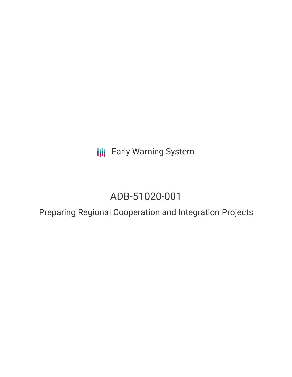**III** Early Warning System

# ADB-51020-001

Preparing Regional Cooperation and Integration Projects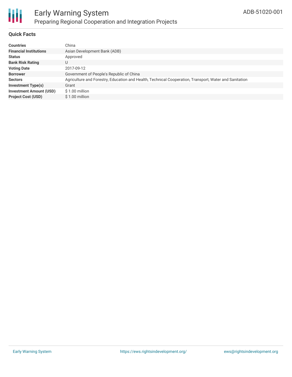

#### **Quick Facts**

| <b>Countries</b>               | China                                                                                                  |
|--------------------------------|--------------------------------------------------------------------------------------------------------|
| <b>Financial Institutions</b>  | Asian Development Bank (ADB)                                                                           |
| <b>Status</b>                  | Approved                                                                                               |
| <b>Bank Risk Rating</b>        | U                                                                                                      |
| <b>Voting Date</b>             | 2017-09-12                                                                                             |
| <b>Borrower</b>                | Government of People's Republic of China                                                               |
| <b>Sectors</b>                 | Agriculture and Forestry, Education and Health, Technical Cooperation, Transport, Water and Sanitation |
| <b>Investment Type(s)</b>      | Grant                                                                                                  |
| <b>Investment Amount (USD)</b> | \$1.00 million                                                                                         |
| <b>Project Cost (USD)</b>      | $$1.00$ million                                                                                        |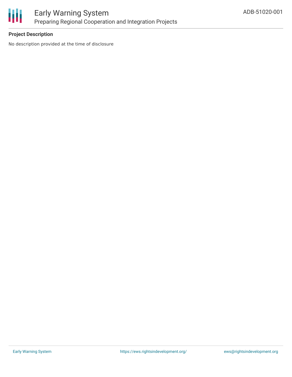

### Early Warning System Preparing Regional Cooperation and Integration Projects

#### **Project Description**

No description provided at the time of disclosure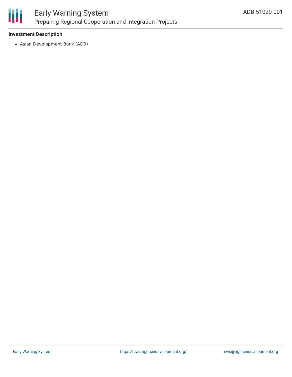

### Early Warning System Preparing Regional Cooperation and Integration Projects

#### **Investment Description**

Asian Development Bank (ADB)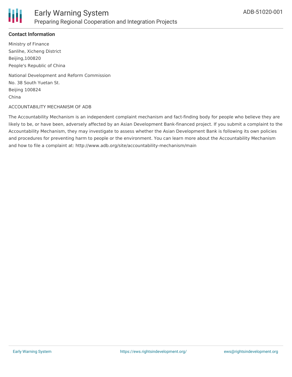

#### **Contact Information**

Ministry of Finance Sanlihe, Xicheng District Beijing,100820 People's Republic of China

National Development and Reform Commission No. 38 South Yuetan St. Beijing 100824 China

#### ACCOUNTABILITY MECHANISM OF ADB

The Accountability Mechanism is an independent complaint mechanism and fact-finding body for people who believe they are likely to be, or have been, adversely affected by an Asian Development Bank-financed project. If you submit a complaint to the Accountability Mechanism, they may investigate to assess whether the Asian Development Bank is following its own policies and procedures for preventing harm to people or the environment. You can learn more about the Accountability Mechanism and how to file a complaint at: http://www.adb.org/site/accountability-mechanism/main